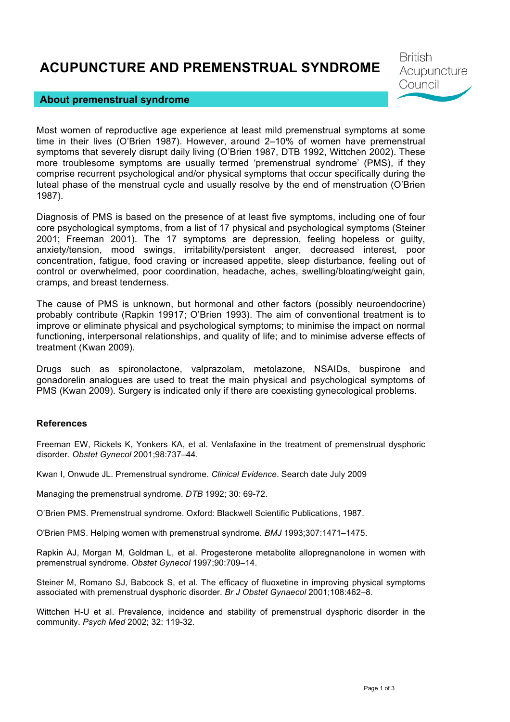# **ACUPUNCTURE AND PREMENSTRUAL SYNDROME**

#### **About premenstrual syndrome**

Most women of reproductive age experience at least mild premenstrual symptoms at some time in their lives (O'Brien 1987). However, around 2–10% of women have premenstrual symptoms that severely disrupt daily living (O'Brien 1987, DTB 1992, Wittchen 2002). These more troublesome symptoms are usually termed 'premenstrual syndrome' (PMS), if they comprise recurrent psychological and/or physical symptoms that occur specifically during the luteal phase of the menstrual cycle and usually resolve by the end of menstruation (O'Brien 1987).

Diagnosis of PMS is based on the presence of at least five symptoms, including one of four core psychological symptoms, from a list of 17 physical and psychological symptoms (Steiner 2001; Freeman 2001). The 17 symptoms are depression, feeling hopeless or guilty, anxiety/tension, mood swings, irritability/persistent anger, decreased interest, poor concentration, fatigue, food craving or increased appetite, sleep disturbance, feeling out of control or overwhelmed, poor coordination, headache, aches, swelling/bloating/weight gain, cramps, and breast tenderness.

The cause of PMS is unknown, but hormonal and other factors (possibly neuroendocrine) probably contribute (Rapkin 19917; O'Brien 1993). The aim of conventional treatment is to improve or eliminate physical and psychological symptoms; to minimise the impact on normal functioning, interpersonal relationships, and quality of life; and to minimise adverse effects of treatment (Kwan 2009).

Drugs such as spironolactone, valprazolam, metolazone, NSAIDs, buspirone and gonadorelin analogues are used to treat the main physical and psychological symptoms of PMS (Kwan 2009). Surgery is indicated only if there are coexisting gynecological problems.

#### **References**

Freeman EW, Rickels K, Yonkers KA, et al. Venlafaxine in the treatment of premenstrual dysphoric disorder. *Obstet Gynecol* 2001;98:737–44.

Kwan I, Onwude JL. Premenstrual syndrome. *Clinical Evidence*. Search date July 2009

Managing the premenstrual syndrome. *DTB* 1992; 30: 69-72.

O'Brien PMS. Premenstrual syndrome. Oxford: Blackwell Scientific Publications, 1987.

O'Brien PMS. Helping women with premenstrual syndrome. *BMJ* 1993;307:1471–1475.

Rapkin AJ, Morgan M, Goldman L, et al. Progesterone metabolite allopregnanolone in women with premenstrual syndrome. *Obstet Gynecol* 1997;90:709–14.

Steiner M, Romano SJ, Babcock S, et al. The efficacy of fluoxetine in improving physical symptoms associated with premenstrual dysphoric disorder. *Br J Obstet Gynaecol* 2001;108:462–8.

Wittchen H-U et al. Prevalence, incidence and stability of premenstrual dysphoric disorder in the community. *Psych Med* 2002; 32: 119-32.

**British** 

Council

Acupuncture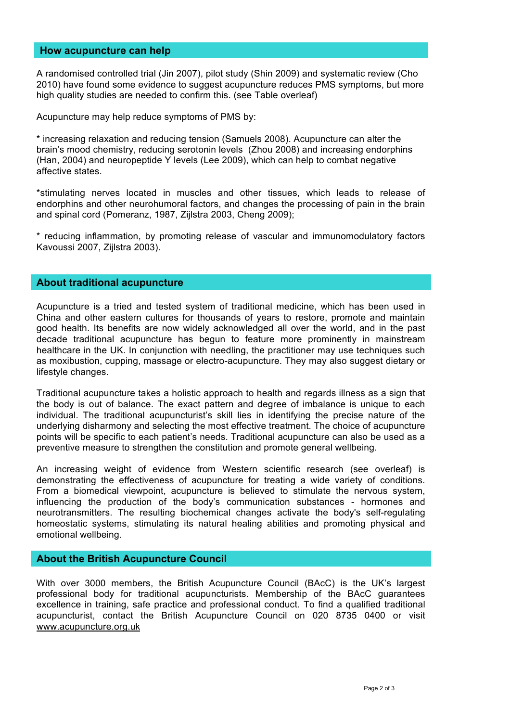#### **How acupuncture can help**

A randomised controlled trial (Jin 2007), pilot study (Shin 2009) and systematic review (Cho 2010) have found some evidence to suggest acupuncture reduces PMS symptoms, but more high quality studies are needed to confirm this. (see Table overleaf)

Acupuncture may help reduce symptoms of PMS by:

\* increasing relaxation and reducing tension (Samuels 2008). Acupuncture can alter the brain's mood chemistry, reducing serotonin levels (Zhou 2008) and increasing endorphins (Han, 2004) and neuropeptide Y levels (Lee 2009), which can help to combat negative affective states.

\*stimulating nerves located in muscles and other tissues, which leads to release of endorphins and other neurohumoral factors, and changes the processing of pain in the brain and spinal cord (Pomeranz, 1987, Zijlstra 2003, Cheng 2009);

\* reducing inflammation, by promoting release of vascular and immunomodulatory factors Kavoussi 2007, Zijlstra 2003).

### **About traditional acupuncture**

Acupuncture is a tried and tested system of traditional medicine, which has been used in China and other eastern cultures for thousands of years to restore, promote and maintain good health. Its benefits are now widely acknowledged all over the world, and in the past decade traditional acupuncture has begun to feature more prominently in mainstream healthcare in the UK. In conjunction with needling, the practitioner may use techniques such as moxibustion, cupping, massage or electro-acupuncture. They may also suggest dietary or lifestyle changes.

Traditional acupuncture takes a holistic approach to health and regards illness as a sign that the body is out of balance. The exact pattern and degree of imbalance is unique to each individual. The traditional acupuncturist's skill lies in identifying the precise nature of the underlying disharmony and selecting the most effective treatment. The choice of acupuncture points will be specific to each patient's needs. Traditional acupuncture can also be used as a preventive measure to strengthen the constitution and promote general wellbeing.

An increasing weight of evidence from Western scientific research (see overleaf) is demonstrating the effectiveness of acupuncture for treating a wide variety of conditions. From a biomedical viewpoint, acupuncture is believed to stimulate the nervous system, influencing the production of the body's communication substances - hormones and neurotransmitters. The resulting biochemical changes activate the body's self-regulating homeostatic systems, stimulating its natural healing abilities and promoting physical and emotional wellbeing.

### **About the British Acupuncture Council**

With over 3000 members, the British Acupuncture Council (BAcC) is the UK's largest professional body for traditional acupuncturists. Membership of the BAcC guarantees excellence in training, safe practice and professional conduct. To find a qualified traditional acupuncturist, contact the British Acupuncture Council on 020 8735 0400 or visit www.acupuncture.org.uk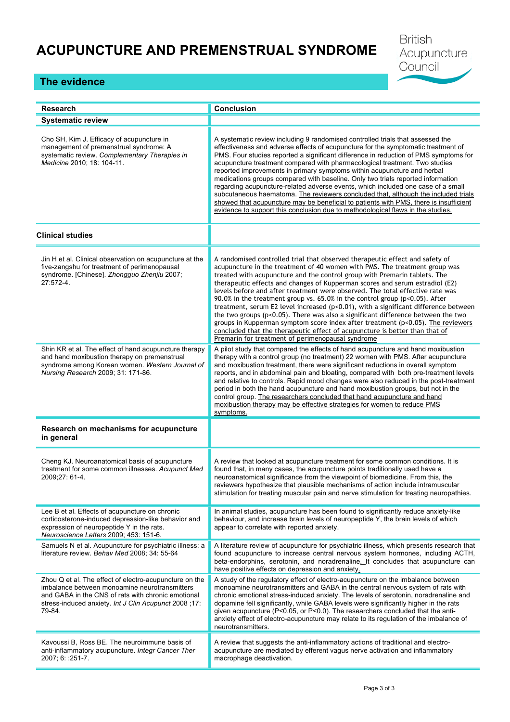# **ACUPUNCTURE AND PREMENSTRUAL SYNDROME**

**British** Acupuncture Council

## **The evidence**

| <b>Research</b>                                                                                                                                                                                                                 | <b>Conclusion</b>                                                                                                                                                                                                                                                                                                                                                                                                                                                                                                                                                                                                                                                                                                                                                                                                                                                                            |
|---------------------------------------------------------------------------------------------------------------------------------------------------------------------------------------------------------------------------------|----------------------------------------------------------------------------------------------------------------------------------------------------------------------------------------------------------------------------------------------------------------------------------------------------------------------------------------------------------------------------------------------------------------------------------------------------------------------------------------------------------------------------------------------------------------------------------------------------------------------------------------------------------------------------------------------------------------------------------------------------------------------------------------------------------------------------------------------------------------------------------------------|
| <b>Systematic review</b>                                                                                                                                                                                                        |                                                                                                                                                                                                                                                                                                                                                                                                                                                                                                                                                                                                                                                                                                                                                                                                                                                                                              |
| Cho SH, Kim J. Efficacy of acupuncture in<br>management of premenstrual syndrome: A<br>systematic review. Complementary Therapies in<br>Medicine 2010; 18: 104-11.                                                              | A systematic review including 9 randomised controlled trials that assessed the<br>effectiveness and adverse effects of acupuncture for the symptomatic treatment of<br>PMS. Four studies reported a significant difference in reduction of PMS symptoms for<br>acupuncture treatment compared with pharmacological treatment. Two studies<br>reported improvements in primary symptoms within acupuncture and herbal<br>medications groups compared with baseline. Only two trials reported information<br>regarding acupuncture-related adverse events, which included one case of a small<br>subcutaneous haematoma. The reviewers concluded that, although the included trials<br>showed that acupuncture may be beneficial to patients with PMS, there is insufficient<br>evidence to support this conclusion due to methodological flaws in the studies.                                |
| <b>Clinical studies</b>                                                                                                                                                                                                         |                                                                                                                                                                                                                                                                                                                                                                                                                                                                                                                                                                                                                                                                                                                                                                                                                                                                                              |
| Jin H et al. Clinical observation on acupuncture at the<br>five-zangshu for treatment of perimenopausal<br>syndrome. [Chinese]. Zhongguo Zhenjiu 2007;<br>$27:572-4.$                                                           | A randomised controlled trial that observed therapeutic effect and safety of<br>acupuncture in the treatment of 40 women with PMS. The treatment group was<br>treated with acupuncture and the control group with Premarin tablets. The<br>therapeutic effects and changes of Kupperman scores and serum estradiol (E2)<br>levels before and after treatment were observed. The total effective rate was<br>90.0% in the treatment group vs. 65.0% in the control group (p<0.05). After<br>treatment, serum E2 level increased (p<0.01), with a significant difference between<br>the two groups (p<0.05). There was also a significant difference between the two<br>groups in Kupperman symptom score index after treatment $(p<0.05)$ . The reviewers<br>concluded that the therapeutic effect of acupuncture is better than that of<br>Premarin for treatment of perimenopausal syndrome |
| Shin KR et al. The effect of hand acupuncture therapy<br>and hand moxibustion therapy on premenstrual<br>syndrome among Korean women. Western Journal of<br>Nursing Research 2009; 31: 171-86.                                  | A pilot study that compared the effects of hand acupuncture and hand moxibustion<br>therapy with a control group (no treatment) 22 women with PMS. After acupuncture<br>and moxibustion treatment, there were significant reductions in overall symptom<br>reports, and in abdominal pain and bloating, compared with both pre-treatment levels<br>and relative to controls. Rapid mood changes were also reduced in the post-treatment<br>period in both the hand acupuncture and hand moxibustion groups, but not in the<br>control group. The researchers concluded that hand acupuncture and hand<br>moxibustion therapy may be effective strategies for women to reduce PMS<br>symptoms.                                                                                                                                                                                                |
| Research on mechanisms for acupuncture<br>in general                                                                                                                                                                            |                                                                                                                                                                                                                                                                                                                                                                                                                                                                                                                                                                                                                                                                                                                                                                                                                                                                                              |
| Cheng KJ. Neuroanatomical basis of acupuncture<br>treatment for some common illnesses. Acupunct Med<br>2009;27: 61-4.                                                                                                           | A review that looked at acupuncture treatment for some common conditions. It is<br>found that, in many cases, the acupuncture points traditionally used have a<br>neuroanatomical significance from the viewpoint of biomedicine. From this, the<br>reviewers hypothesize that plausible mechanisms of action include intramuscular<br>stimulation for treating muscular pain and nerve stimulation for treating neuropathies.                                                                                                                                                                                                                                                                                                                                                                                                                                                               |
| Lee B et al. Effects of acupuncture on chronic<br>corticosterone-induced depression-like behavior and<br>expression of neuropeptide Y in the rats.<br>Neuroscience Letters 2009; 453: 151-6.                                    | In animal studies, acupuncture has been found to significantly reduce anxiety-like<br>behaviour, and increase brain levels of neuropeptide Y, the brain levels of which<br>appear to correlate with reported anxiety.                                                                                                                                                                                                                                                                                                                                                                                                                                                                                                                                                                                                                                                                        |
| Samuels N et al. Acupuncture for psychiatric illness: a<br>literature review. Behav Med 2008; 34: 55-64                                                                                                                         | A literature review of acupuncture for psychiatric illness, which presents research that<br>found acupuncture to increase central nervous system hormones, including ACTH,<br>beta-endorphins, serotonin, and noradrenaline. It concludes that acupuncture can<br>have positive effects on depression and anxiety.                                                                                                                                                                                                                                                                                                                                                                                                                                                                                                                                                                           |
| Zhou Q et al. The effect of electro-acupuncture on the<br>imbalance between monoamine neurotransmitters<br>and GABA in the CNS of rats with chronic emotional<br>stress-induced anxiety. Int J Clin Acupunct 2008;17:<br>79-84. | A study of the regulatory effect of electro-acupuncture on the imbalance between<br>monoamine neurotransmitters and GABA in the central nervous system of rats with<br>chronic emotional stress-induced anxiety. The levels of serotonin, noradrenaline and<br>dopamine fell significantly, while GABA levels were significantly higher in the rats<br>given acupuncture (P<0.05, or P<0.0). The researchers concluded that the anti-<br>anxiety effect of electro-acupuncture may relate to its regulation of the imbalance of<br>neurotransmitters.                                                                                                                                                                                                                                                                                                                                        |
| Kavoussi B, Ross BE. The neuroimmune basis of<br>anti-inflammatory acupuncture. Integr Cancer Ther<br>2007; 6: :251-7.                                                                                                          | A review that suggests the anti-inflammatory actions of traditional and electro-<br>acupuncture are mediated by efferent vagus nerve activation and inflammatory<br>macrophage deactivation.                                                                                                                                                                                                                                                                                                                                                                                                                                                                                                                                                                                                                                                                                                 |